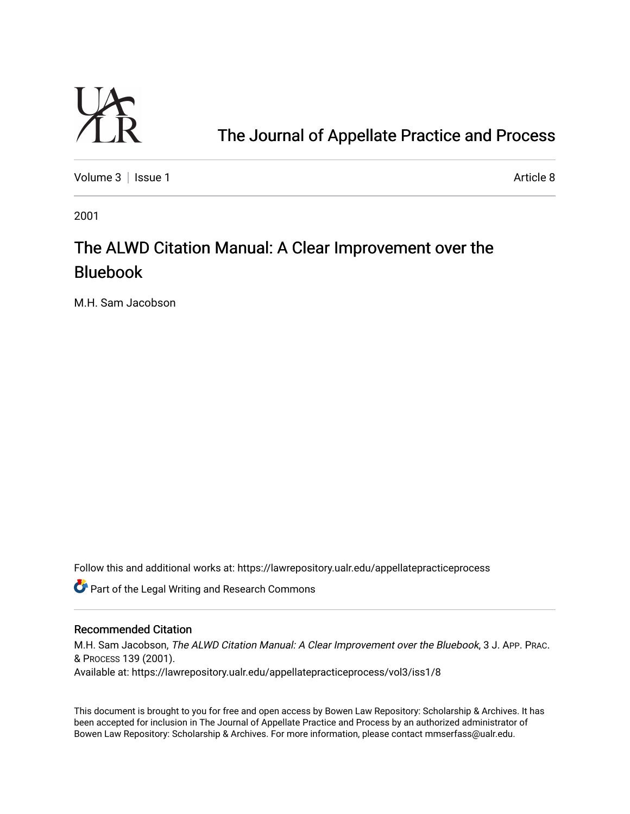

# [The Journal of Appellate Practice and Process](https://lawrepository.ualr.edu/appellatepracticeprocess)

[Volume 3](https://lawrepository.ualr.edu/appellatepracticeprocess/vol3) | [Issue 1](https://lawrepository.ualr.edu/appellatepracticeprocess/vol3/iss1) Article 8

2001

# The ALWD Citation Manual: A Clear Improvement over the Bluebook

M.H. Sam Jacobson

Follow this and additional works at: [https://lawrepository.ualr.edu/appellatepracticeprocess](https://lawrepository.ualr.edu/appellatepracticeprocess?utm_source=lawrepository.ualr.edu%2Fappellatepracticeprocess%2Fvol3%2Fiss1%2F8&utm_medium=PDF&utm_campaign=PDFCoverPages) 

**C** Part of the Legal Writing and Research Commons

# Recommended Citation

M.H. Sam Jacobson, The ALWD Citation Manual: A Clear Improvement over the Bluebook, 3 J. APP. PRAC. & PROCESS 139 (2001). Available at: https://lawrepository.ualr.edu/appellatepracticeprocess/vol3/iss1/8

This document is brought to you for free and open access by [Bowen Law Repository: Scholarship & Archives.](macro%20site.link) It has been accepted for inclusion in The Journal of Appellate Practice and Process by an authorized administrator of Bowen Law Repository: Scholarship & Archives. For more information, please contact [mmserfass@ualr.edu.](mailto:mmserfass@ualr.edu)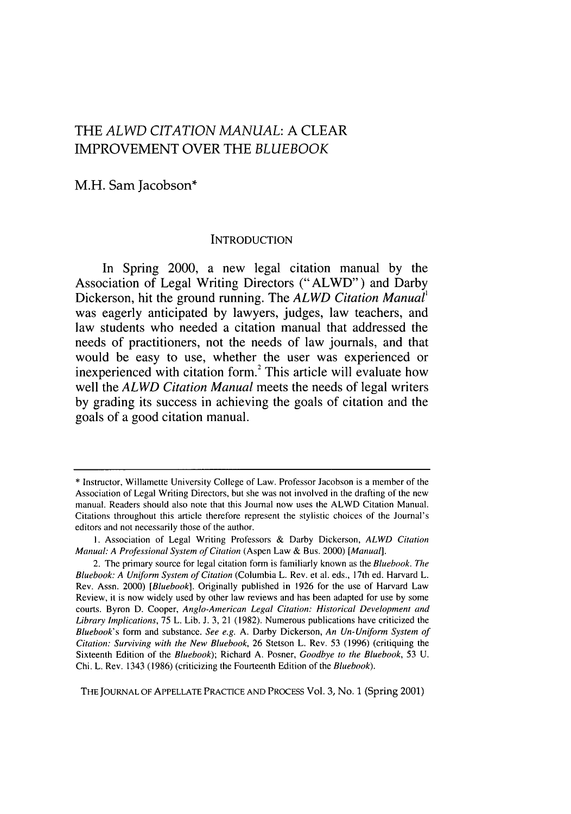# THE *ALWD CITATION MANUAL:* A CLEAR IMPROVEMENT OVER THE *BLUEBOOK*

M.H. Sam Jacobson\*

#### **INTRODUCTION**

In Spring 2000, a new legal citation manual **by** the Association of Legal Writing Directors ("ALWD") and Darby Dickerson, hit the ground running. The *ALWD Citation Manual'* was eagerly anticipated **by** lawyers, judges, law teachers, and law students who needed a citation manual that addressed the needs of practitioners, not the needs of law journals, and that would be easy to use, whether the user was experienced or inexperienced with citation form.<sup>2</sup> This article will evaluate how well the *ALWD Citation Manual* meets the needs of legal writers **by** grading its success in achieving the goals of citation and the goals of a good citation manual.

**THE** JOURNAL OF APPELLATE PRACTICE AND PROCESS Vol. 3, No. **1** (Spring 2001)

<sup>\*</sup> Instructor, Willamette University College of Law. Professor Jacobson is a member of the Association of Legal Writing Directors, but she was not involved in the drafting of the new manual. Readers should also note that this Journal now uses the ALWD Citation Manual. Citations throughout this article therefore represent the stylistic choices of the Journal's editors and not necessarily those of the author.

I. Association of Legal Writing Professors & Darby Dickerson, ALWD Citation Manual: A Professional System of Citation (Aspen Law & Bus. 2000) [Manual].

<sup>2.</sup> The primary source for legal citation form is familiarly known as the Bluebook. The Bluebook: A Uniform System of Citation (Columbia L. Rev. et al. eds., 17th ed. Harvard L. Rev. Assn. 2000) [Bluebook]. Originally published in 1926 for the use of Harvard Law Review, it is now widely used by other law reviews and has been adapted for use by some courts. Byron D. Cooper, Anglo-American Legal Citation: Historical Development and Library Implications, 75 L. Lib. J. 3, 21 (1982). Numerous publications have criticized the Bluebook's form and substance. See e.g. A. Darby Dickerson, An Un-Uniform System of Citation: Surviving with the New Bluebook, **26** Stetson L. Rev. 53 (1996) (critiquing the Sixteenth Edition of the Bluebook); Richard A. Posner, Goodbye to the Bluebook, 53 U. Chi. L. Rev. 1343 (1986) (criticizing the Fourteenth Edition of the Bluebook).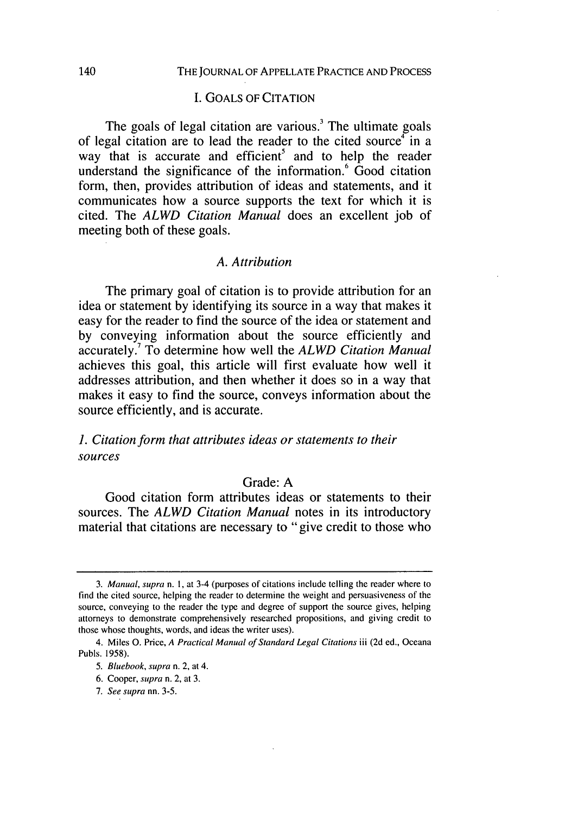#### I. GOALS OF CITATION

The goals of legal citation are various.<sup>3</sup> The ultimate goals of legal citation are to lead the reader to the cited source  $\tilde{f}$  in a way that is accurate and efficient<sup>5</sup> and to help the reader understand the significance of the information.<sup>6</sup> Good citation form, then, provides attribution of ideas and statements, and it communicates how a source supports the text for which it is cited. The *ALWD Citation Manual* does an excellent job of meeting both of these goals.

#### *A. Attribution*

The primary goal of citation is to provide attribution for an idea or statement by identifying its source in a way that makes it easy for the reader to find the source of the idea or statement and by conveying information about the source efficiently and accurately] To determine how well the *ALWD Citation Manual* achieves this goal, this article will first evaluate how well it addresses attribution, and then whether it does so in a way that makes it easy to find the source, conveys information about the source efficiently, and is accurate.

# **1.** *Citation form that attributes ideas or statements to their* sources

# Grade: A

Good citation form attributes ideas or statements to their sources. The *ALWD Citation Manual* notes in its introductory material that citations are necessary to "give credit to those who

<sup>3.</sup> Manual, supra n. I, at 3-4 (purposes of citations include telling the reader where to find the cited source, helping the reader to determine the weight and persuasiveness of the source, conveying to the reader the type and degree of support the source gives, helping attorneys to demonstrate comprehensively researched propositions, and giving credit to those whose thoughts, words, and ideas the writer uses).

<sup>4.</sup> Miles **0.** Price, *A Practical Manual of Standard Legal Citations* iii (2d ed., Oceana Pubis. 1958).

*<sup>5.</sup>* Bluebook, *supra* n. 2, at 4.

<sup>6.</sup> Cooper, *supra* n. 2, at 3.

*<sup>7.</sup> See supra* nn. 3-5.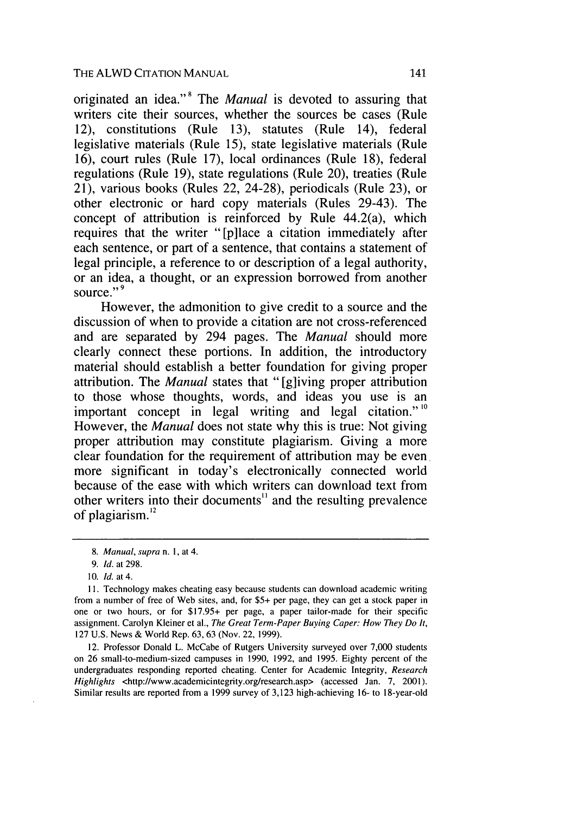originated an idea."<sup>8</sup> The *Manual* is devoted to assuring that writers cite their sources, whether the sources be cases (Rule 12), constitutions (Rule 13), statutes (Rule 14), federal legislative materials (Rule 15), state legislative materials (Rule 16), court rules (Rule 17), local ordinances (Rule 18), federal regulations (Rule 19), state regulations (Rule 20), treaties (Rule 21), various books (Rules 22, 24-28), periodicals (Rule 23), or other electronic or hard copy materials (Rules 29-43). The concept of attribution is reinforced by Rule 44.2(a), which requires that the writer "[p]lace a citation immediately after each sentence, or part of a sentence, that contains a statement of legal principle, a reference to or description of a legal authority, or an idea, a thought, or an expression borrowed from another source."<sup>9</sup>

However, the admonition to give credit to a source and the discussion of when to provide a citation are not cross-referenced and are separated by 294 pages. The *Manual* should more clearly connect these portions. In addition, the introductory material should establish a better foundation for giving proper attribution. The *Manual* states that "[g]iving proper attribution to those whose thoughts, words, and ideas you use is an important concept in legal writing and legal citation."<sup>10</sup> However, the *Manual* does not state why this is true: Not giving proper attribution may constitute plagiarism. Giving a more clear foundation for the requirement of attribution may be even. more significant in today's electronically connected world because of the ease with which writers can download text from other writers into their documents" and the resulting prevalence of plagiarism. $^{12}$ 

12. Professor Donald L. McCabe of Rutgers University surveyed over 7,000 students on 26 small-to-medium-sized campuses in 1990, 1992, and 1995. Eighty percent of the undergraduates responding reported cheating. Center for Academic Integrity, *Research Highlights* <http://www.academicintegrity.org/research.asp> (accessed Jan. 7, 2001). Similar results are reported from a 1999 survey of 3,123 high-achieving 16- to 18-year-old

*<sup>8.</sup> Manual, supra* n. 1, at 4.

<sup>9.</sup> *Id.* at 298.

<sup>10.</sup> *Id.* at 4.

**I1.** Technology makes cheating easy because students can download academic writing from a number of free of Web sites, and, for \$5+ per page, they can get a stock paper in one or two hours, or for \$17.95+ per page, a paper tailor-made for their specific assignment. Carolyn Kleiner et al., *The Great Term-Paper Buying Caper: How They Do It,* 127 U.S. News & World Rep. 63, 63 (Nov. 22, 1999).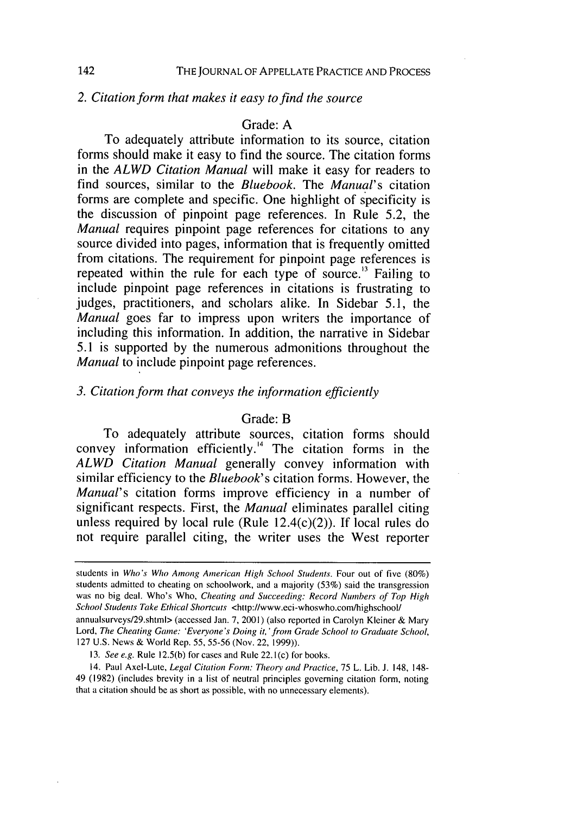### *2. Citation form that makes it easy to find the source*

# Grade: A

To adequately attribute information to its source, citation forms should make it easy to find the source. The citation forms in the *ALWD Citation Manual* will make it easy for readers to find sources, similar to the *Bluebook.* The *Manual's* citation forms are complete and specific. One highlight of specificity is the discussion of pinpoint page references. In Rule 5.2, the *Manual* requires pinpoint page references for citations to any source divided into pages, information that is frequently omitted from citations. The requirement for pinpoint page references is repeated within the rule for each type of source.<sup> $13$ </sup> Failing to include pinpoint page references in citations is frustrating to judges, practitioners, and scholars alike. In Sidebar 5.1, the *Manual* goes far to impress upon writers the importance of including this information. In addition, the narrative in Sidebar 5.1 is supported by the numerous admonitions throughout the *Manual* to include pinpoint page references.

#### *3. Citation form that conveys the information efficiently*

#### Grade: B

To adequately attribute sources, citation forms should convey information efficiently.<sup>14</sup> The citation forms in the *ALWD Citation Manual* generally convey information with similar efficiency to the *Bluebook's* citation forms. However, the *Manual's* citation forms improve efficiency in a number of significant respects. First, the *Manual* eliminates parallel citing unless required by local rule (Rule 12.4(c)(2)). If local rules do not require parallel citing, the writer uses the West reporter

142

students in *Who's Who Among American High School Students.* Four out of five (80%) students admitted to cheating on schoolwork, and a majority (53%) said the transgression was no big deal. Who's Who, *Cheating and Succeeding: Record Numbers of Top High School Students* Take Ethical Shortcuts <http://www.eci-whoswho.com/highschool/

annualsurveys/29.shtml> (accessed Jan. 7, 2001) (also reported in Carolyn Klciner & Mary Lord, The Cheating Game: 'Everyone's Doing it,' from Grade School to Graduate School, 127 U.S. News & World Rep. **55,** 55-56 (Nov. 22, 1999)).

<sup>13.</sup> See *e.g.* Rule 12.5(b) for cases and Rule 22. 1(c) for books.

<sup>14.</sup> Paul Axel-Lute, Legal Citation Form: Theory and Practice, 75 L. Lib. J. 148, 148- 49 (1982) (includes brevity in a list of neutral principles governing citation form, noting that a citation should be as short as possible, with no unnecessary elements).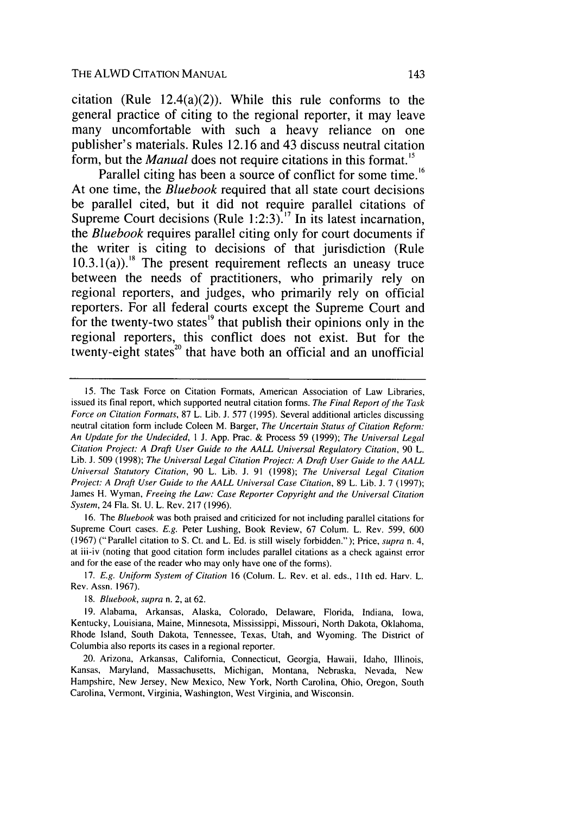THE ALWD CITATION MANUAL

citation (Rule 12.4(a)(2)). While this rule conforms to the general practice of citing to the regional reporter, it may leave many uncomfortable with such a heavy reliance on one publisher's materials. Rules **12.16** and 43 discuss neutral citation form, but the *Manual* does not require citations in this format.'<sup>5</sup>

Parallel citing has been a source of conflict for some time.<sup>16</sup> At one time, the *Bluebook* required that all state court decisions be parallel cited, but it did not require parallel citations of Supreme Court decisions (Rule **1:2:3)."** In its latest incarnation, the *Bluebook* requires parallel citing only for court documents if the writer is citing to decisions of that jurisdiction (Rule  $10.3.1(a)$ .<sup>18</sup> The present requirement reflects an uneasy truce between the needs of practitioners, who primarily rely on regional reporters, and judges, who primarily rely on official reporters. For all federal courts except the Supreme Court and for the twenty-two states<sup>19</sup> that publish their opinions only in the regional reporters, this conflict does not exist. But for the twenty-eight states<sup>20</sup> that have both an official and an unofficial

16. The *Bluebook* was both praised and criticized for not including parallel citations for Supreme Court cases. *E.g.* Peter Lushing, Book Review, 67 Colum. L. Rev. 599, 600 (1967) ("Parallel citation to S. Ct. and L. Ed. is still wisely forbidden."); Price, *supra* n. 4, at iii-iv (noting that good citation form includes parallel citations as a check against error and for the ease of the reader who may only have one of the forms).

17. *E.g. Uniform System of Citation* 16 (Colum. L. Rev. et al. eds., **I** Ith ed. Harv. L. Rev. Assn. 1967).

*18. Bluebook, supra* n. 2, at 62.

19. Alabama, Arkansas, Alaska, Colorado, Delaware, Florida, Indiana, Iowa, Kentucky, Louisiana, Maine, Minnesota, Mississippi, Missouri, North Dakota, Oklahoma, Rhode Island, South Dakota, Tennessee, Texas, Utah, and Wyoming. The District of Columbia also reports its cases in a regional reporter.

20. Arizona, Arkansas, California, Connecticut, Georgia, Hawaii, Idaho, Illinois, Kansas, Maryland, Massachusetts, Michigan, Montana, Nebraska, Nevada, New Hampshire, New Jersey, New Mexico, New York, North Carolina, Ohio, Oregon, South Carolina, Vermont, Virginia, Washington, West Virginia, and Wisconsin.

<sup>15.</sup> The Task Force on Citation Formats, American Association of Law Libraries, issued its final report, which supported neutral citation forms. *The Final Report of the Task Force on Citation Formats,* 87 L. Lib. J. 577 (1995). Several additional articles discussing neutral citation form include Coleen M. Barger, *The Uncertain Status of Citation Reform: An Update for the Undecided, I* J. App. Prac. & Process 59 (1999); *The Universal Legal Citation Project: A Draft User Guide to the AALL Universal Regulatory Citation,* 90 L. Lib. J. 509 (1998); *The Universal Legal Citation Project: A Draft User Guide to the AALL Universal Statutory Citation,* 90 L. Lib. J. 91 (1998); *The Universal Legal Citation Project: A Draft User Guide to the AALL Universal Case Citation,* 89 L. Lib. J. 7 (1997); James H. Wyman, *Freeing the Law: Case Reporter Copyright and the Universal Citation System,* 24 Fla. St. U. L. Rev. 217 (1996).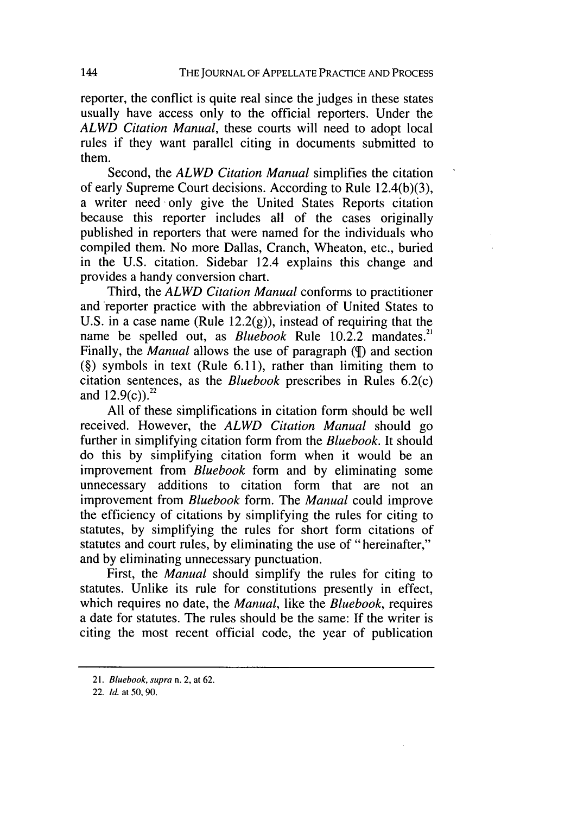reporter, the conflict is quite real since the judges in these states usually have access only to the official reporters. Under the *ALWD Citation Manual,* these courts will need to adopt local rules if they want parallel citing in documents submitted to them.

Second, the *ALWD Citation Manual* simplifies the citation of early Supreme Court decisions. According to Rule 12.4(b)(3), a writer need only give the United States Reports citation because this reporter includes all of the cases originally published in reporters that were named for the individuals who compiled them. No more Dallas, Cranch, Wheaton, etc., buried in the U.S. citation. Sidebar 12.4 explains this change and provides a handy conversion chart.

Third, the *ALWD Citation Manual* conforms to practitioner and 'reporter practice with the abbreviation of United States to U.S. in a case name (Rule  $12.2(g)$ ), instead of requiring that the name be spelled out, as *Bluebook* Rule 10.2.2 mandates.<sup>21</sup> Finally, the *Manual* allows the use of paragraph ( $\mathcal{I}$ ) and section (§) symbols in text (Rule 6.11), rather than limiting them to citation sentences, as the *Bluebook* prescribes in Rules 6.2(c) and  $12.9(c)$ .<sup>22</sup>

All of these simplifications in citation form should be well received. However, the *ALWD Citation Manual* should go further in simplifying citation form from the *Bluebook.* It should do this by simplifying citation form when it would be an improvement from *Bluebook* form and by eliminating some unnecessary additions to citation form that are not an improvement from *Bluebook* form. The *Manual* could improve the efficiency of citations by simplifying the rules for citing to statutes, by simplifying the rules for short form citations of statutes and court rules, by eliminating the use of "hereinafter," and by eliminating unnecessary punctuation.

First, the *Manual* should simplify the rules for citing to statutes. Unlike its rule for constitutions presently in effect, which requires no date, the *Manual,* like the *Bluebook,* requires a date for statutes. The rules should be the same: If the writer is citing the most recent official code, the year of publication

<sup>21.</sup> Bluebook, supra n. 2, at 62.

<sup>22.</sup> **Id.** at **50,** 90.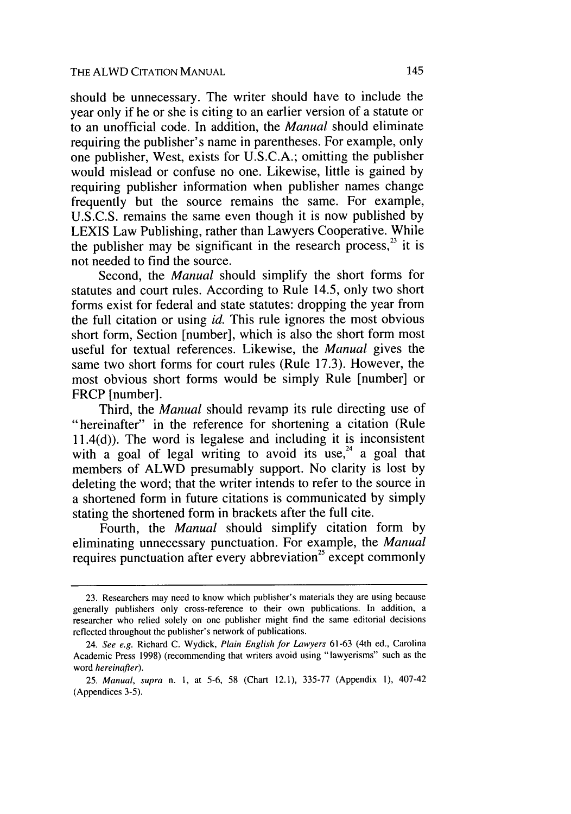should be unnecessary. The writer should have to include the year only if he or she is citing to an earlier version of a statute or to an unofficial code. In addition, the *Manual* should eliminate requiring the publisher's name in parentheses. For example, only one publisher, West, exists for U.S.C.A.; omitting the publisher would mislead or confuse no one. Likewise, little is gained by requiring publisher information when publisher names change frequently but the source remains the same. For example, U.S.C.S. remains the same even though it is now published by LEXIS Law Publishing, rather than Lawyers Cooperative. While the publisher may be significant in the research process, $^{23}$  it is not needed to find the source.

Second, the *Manual* should simplify the short forms for statutes and court rules. According to Rule 14.5, only two short forms exist for federal and state statutes: dropping the year from the full citation or using *id.* This rule ignores the most obvious short form, Section [number], which is also the short form most useful for textual references. Likewise, the *Manual* gives the same two short forms for court rules (Rule 17.3). However, the most obvious short forms would be simply Rule [number] or FRCP [number].

Third, the *Manual* should revamp its rule directing use of "hereinafter" in the reference for shortening a citation (Rule 11.4(d)). The word is legalese and including it is inconsistent with a goal of legal writing to avoid its use,<sup>24</sup> a goal that members of ALWD presumably support. No clarity is lost by deleting the word; that the writer intends to refer to the source in a shortened form in future citations is communicated by simply stating the shortened form in brackets after the full cite.

Fourth, the *Manual* should simplify citation form by eliminating unnecessary punctuation. For example, the *Manual* requires punctuation after every abbreviation<sup>25</sup> except commonly

<sup>23.</sup> Researchers may need to know which publisher's materials they are using because generally publishers only cross-reference to their own publications. In addition, a researcher who relied solely on one publisher might find the same editorial decisions reflected throughout the publisher's network of publications.

<sup>24.</sup> *See e.g.* Richard C. Wydick, *Plain English for Lawyers* 61-63 (4th ed., Carolina Academic Press 1998) (recommending that writers avoid using "lawyerisms" such as the word *hereinafter).*

<sup>25.</sup> *Manual, supra* n. I, at 5-6, 58 (Chart 12.1), 335-77 (Appendix I), 407-42 (Appendices 3-5).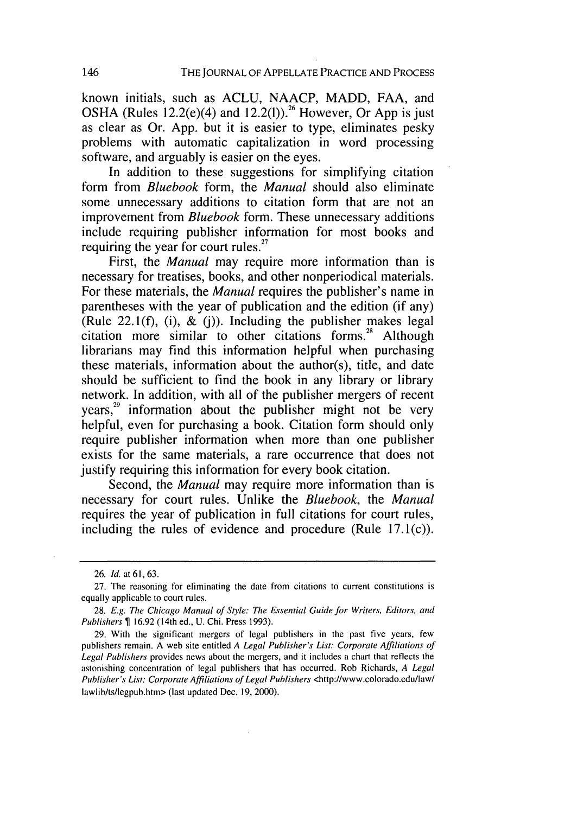known initials, such as ACLU, NAACP, MADD, FAA, and OSHA (Rules 12.2(e)(4) and 12.2(l)).<sup>26</sup> However, Or App is just as clear as Or. App. but it is easier to type, eliminates pesky problems with automatic capitalization in word processing software, and arguably is easier on the eyes.

In addition to these suggestions for simplifying citation form from *Bluebook* form, the *Manual* should also eliminate some unnecessary additions to citation form that are not an improvement from *Bluebook* form. These unnecessary additions include requiring publisher information for most books and requiring the year for court rules. $27$ 

First, the *Manual* may require more information than is necessary for treatises, books, and other nonperiodical materials. For these materials, the *Manual* requires the publisher's name in parentheses with the year of publication and the edition (if any) (Rule 22.1(f), (i),  $\&$  (j)). Including the publisher makes legal citation more similar to other citations forms.<sup>28</sup> Although librarians may find this information helpful when purchasing these materials, information about the author(s), title, and date should be sufficient to find the book in any library or library network. In addition, with all of the publisher mergers of recent  $years<sup>29</sup>$  information about the publisher might not be very helpful, even for purchasing a book. Citation form should only require publisher information when more than one publisher exists for the same materials, a rare occurrence that does not justify requiring this information for every book citation.

Second, the *Manual* may require more information than is necessary for court rules. Unlike the *Bluebook,* the *Manual* requires the year of publication in full citations for court rules, including the rules of evidence and procedure (Rule  $17.1(c)$ ).

<sup>26.</sup> *Id.* at **61,** 63.

<sup>27.</sup> The reasoning for eliminating the date from citations to current constitutions is equally applicable to court rules.

<sup>28.</sup> E.g. The Chicago Manual of Style: The Essential Guide for Writers, Editors, and Publishers  $\P$  16.92 (14th ed., U. Chi. Press 1993).

<sup>29.</sup> With the significant mergers of legal publishers in the past five years, few publishers remain. A web site entitled A Legal Publisher's List: Corporate Affiliations of Legal Publishers provides news about the mergers, and it includes a chart that reflects the astonishing concentration of legal publishers that has occurred. Rob Richards, A Legal Publisher's List: Corporate Affiliations of Legal Publishers <http://www.colorado.edu/law/ lawlib/ts/legpub.htm> (last updated Dec. 19, 2000).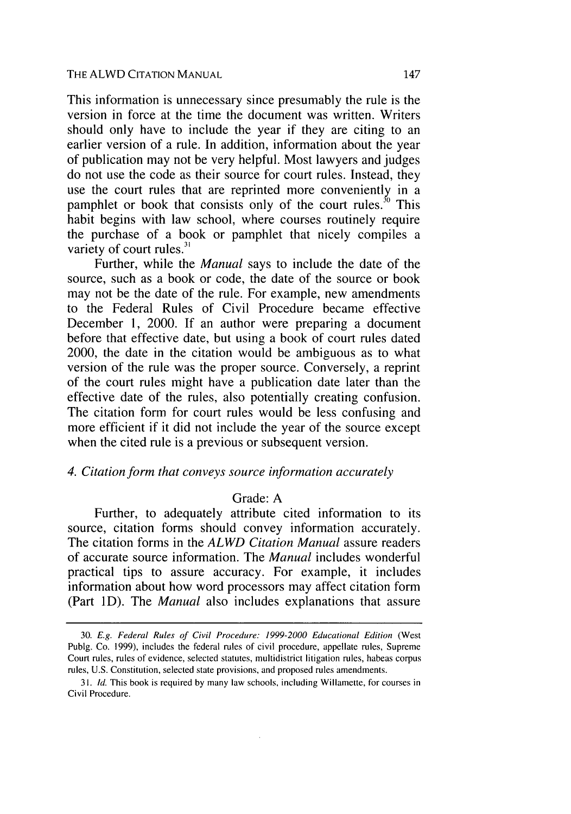#### THE ALWD CITATION MANUAL

This information is unnecessary since presumably the rule is the version in force at the time the document was written. Writers should only have to include the year if they are citing to an earlier version of a rule. In addition, information about the year of publication may not be very helpful. Most lawyers and judges do not use the code as their source for court rules. Instead, they use the court rules that are reprinted more conveniently in a pamphlet or book that consists only of the court rules. $30$  This habit begins with law school, where courses routinely require the purchase of a book or pamphlet that nicely compiles a variety of court rules.<sup>31</sup>

Further, while the *Manual* says to include the date of the source, such as a book or code, the date of the source or book may not be the date of the rule. For example, new amendments to the Federal Rules of Civil Procedure became effective December 1, 2000. If an author were preparing a document before that effective date, but using a book of court rules dated 2000, the date in the citation would be ambiguous as to what version of the rule was the proper source. Conversely, a reprint of the court rules might have a publication date later than the effective date of the rules, also potentially creating confusion. The citation form for court rules would be less confusing and more efficient if it did not include the year of the source except when the cited rule is a previous or subsequent version.

#### *4. Citation form that conveys source information accurately*

### Grade: A

Further, to adequately attribute cited information to its source, citation forms should convey information accurately. The citation forms in the *ALWD Citation Manual* assure readers of accurate source information. The *Manual* includes wonderful practical tips to assure accuracy. For example, it includes information about how word processors may affect citation form (Part ID). The *Manual* also includes explanations that assure

<sup>30.</sup> E.g. Federal Rules of Civil Procedure: *1999-2000* Educational Edition (West Publg. Co. 1999), includes the federal rules of civil procedure, appellate rules, Supreme Court rules, rules of evidence, selected statutes, multidistrict litigation rules, habeas corpus rules, U.S. Constitution, selected state provisions, and proposed rules amendments.

<sup>31.</sup> Id. This book is required by many law schools, including Willamette, for courses in Civil Procedure.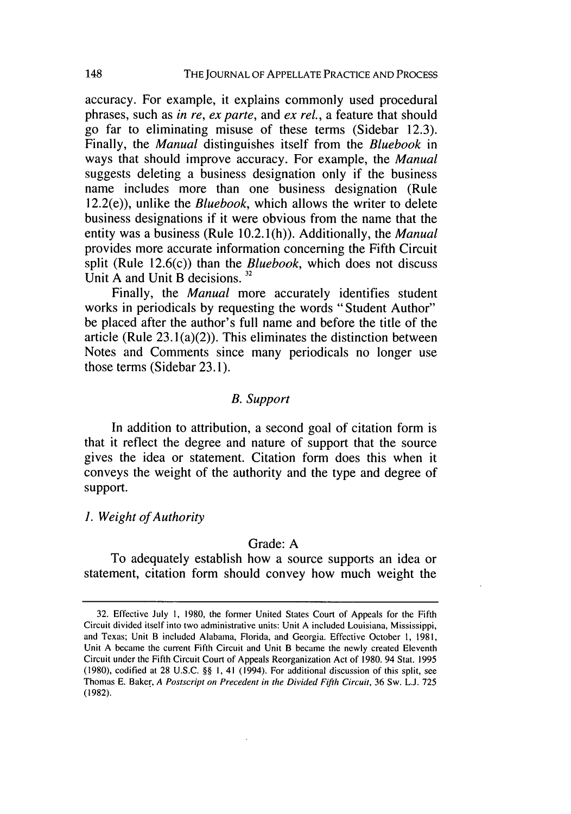accuracy. For example, it explains commonly used procedural phrases, such as *in re, ex parte,* and *ex rel.,* a feature that should go far to eliminating misuse of these terms (Sidebar 12.3). Finally, the *Manual* distinguishes itself from the *Bluebook* in ways that should improve accuracy. For example, the *Manual* suggests deleting a business designation only if the business name includes more than one business designation (Rule 12.2(e)), unlike the *Bluebook,* which allows the writer to delete business designations if it were obvious from the name that the entity was a business (Rule 10.2.1(h)). Additionally, the *Manual* provides more accurate information concerning the Fifth Circuit split (Rule 12.6(c)) than the *Bluebook,* which does not discuss Unit A and Unit B decisions.<sup>32</sup>

Finally, the *Manual* more accurately identifies student works in periodicals by requesting the words "Student Author" be placed after the author's full name and before the title of the article (Rule 23.1(a)(2)). This eliminates the distinction between Notes and Comments since many periodicals no longer use those terms (Sidebar 23.1).

#### *B. Support*

In addition to attribution, a second goal of citation form is that it reflect the degree and nature of support that the source gives the idea or statement. Citation form does this when it conveys the weight of the authority and the type and degree of support.

### *1. Weight of Authority*

#### Grade: A

To adequately establish how a source supports an idea or statement, citation form should convey how much weight the

<sup>32.</sup> Effective July 1, 1980, the former United States Court of Appeals for the Fifth Circuit divided itself into two administrative units: Unit A included Louisiana, Mississippi, and Texas; Unit B included Alabama, Florida, and Georgia. Effective October 1, 1981, Unit A became the current Fifth Circuit and Unit B became the newly created Eleventh Circuit under the Fifth Circuit Court of Appeals Reorganization Act of 1980. 94 Stat. 1995 (1980), codified at 28 U.S.C. §§ **1,** 41 (1994). For additional discussion of this split, see Thomas E. Baker, **A** Postscript on Precedent in the Divided *Fifth Circuit,* 36 Sw. L.J. 725 **(1982).**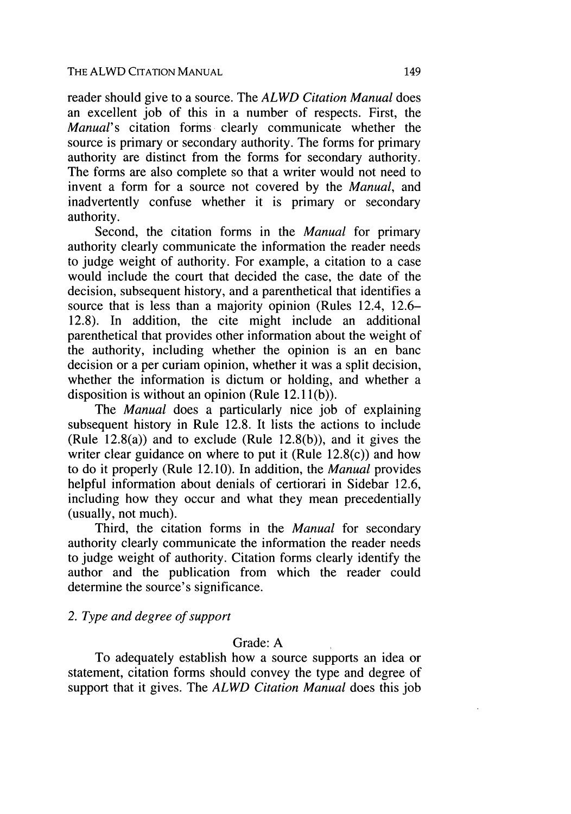reader should give to a source. The *ALWD Citation Manual* does an excellent job of this in a number of respects. First, the *Manual's* citation forms clearly communicate whether the source is primary or secondary authority. The forms for primary authority are distinct from the forms for secondary authority. The forms are also complete so that a writer would not need to invent a form for a source not covered by the *Manual,* and inadvertently confuse whether it is primary or secondary authority.

Second, the citation forms in the *Manual* for primary authority clearly communicate the information the reader needs to judge weight of authority. For example, a citation to a case would include the court that decided the case, the date of the decision, subsequent history, and a parenthetical that identifies a source that is less than a majority opinion (Rules 12.4, 12.6– 12.8). In addition, the cite might include an additional parenthetical that provides other information about the weight of the authority, including whether the opinion is an en banc decision or a per curiam opinion, whether it was a split decision, whether the information is dictum or holding, and whether a disposition is without an opinion (Rule 12.1 (b)).

The *Manual* does a particularly nice job of explaining subsequent history in Rule 12.8. It lists the actions to include (Rule 12.8(a)) and to exclude (Rule 12.8(b)), and it gives the writer clear guidance on where to put it (Rule 12.8(c)) and how to do it properly (Rule 12.10). In addition, the *Manual* provides helpful information about denials of certiorari in Sidebar 12.6, including how they occur and what they mean precedentially (usually, not much).

Third, the citation forms in the *Manual* for secondary authority clearly communicate the information the reader needs to judge weight of authority. Citation forms clearly identify the author and the publication from which the reader could determine the source's significance.

# *2. Type and degree of support*

# Grade: A

To adequately establish how a source supports an idea or statement, citation forms should convey the type and degree of support that it gives. The *ALWD Citation Manual* does this job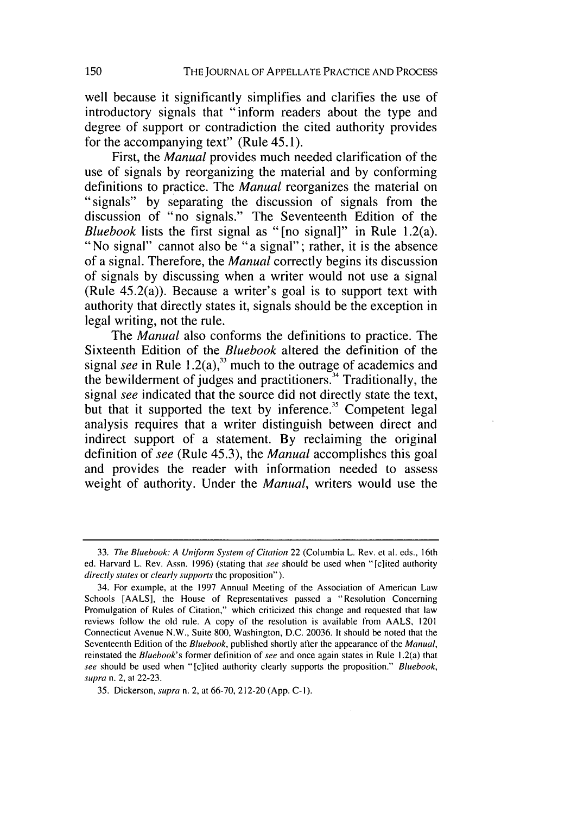well because it significantly simplifies and clarifies the use of introductory signals that "inform readers about the type and degree of support or contradiction the cited authority provides for the accompanying text" (Rule 45.1).

First, the *Manual* provides much needed clarification of the use of signals by reorganizing the material and by conforming definitions to practice. The *Manual* reorganizes the material on "signals" by separating the discussion of signals from the discussion of "no signals." The Seventeenth Edition of the *Bluebook* lists the first signal as "[no signal]" in Rule 1.2(a). "No signal" cannot also be "a signal"; rather, it is the absence of a signal. Therefore, the *Manual* correctly begins its discussion of signals by discussing when a writer would not use a signal (Rule 45.2(a)). Because a writer's goal is to support text with authority that directly states it, signals should be the exception in legal writing, not the rule.

The *Manual* also conforms the definitions to practice. The Sixteenth Edition of the *Bluebook* altered the definition of the signal *see* in Rule 1.2(a),<sup>33</sup> much to the outrage of academics and the bewilderment of judges and practitioners **.** Traditionally, the signal *see* indicated that the source did not directly state the text, but that it supported the text by inference.<sup>35</sup> Competent legal analysis requires that a writer distinguish between direct and indirect support of a statement. By reclaiming the original definition of *see* (Rule 45.3), the *Manual* accomplishes this goal and provides the reader with information needed to assess weight of authority. Under the *Manual,* writers would use the

<sup>33.</sup> The Bluebook: A Uniform System of Citation 22 (Columbia L. Rev. et al. eds., 16th ed. Harvard L. Rev. Assn. 1996) (stating that see should be used when "[c]ited authority directly states or clearly supports the proposition").

<sup>34.</sup> For example, at the 1997 Annual Meeting of the Association of American Law Schools [AALS], the House of Representatives passed a "Resolution Concerning Promulgation of Rules of Citation," which criticized this change and requested that law reviews follow the old rule. A copy of the resolution is available from AALS, 1201 Connecticut Avenue N.W., Suite 800, Washington, D.C. 20036. It should be noted that the Seventeenth Edition of the *Bluebook*, published shortly after the appearance of the *Manual*, reinstated the Bluebook's former definition of see and once again states in Rule 1.2(a) that see should be used when "[c]ited authority clearly supports the proposition." Bluebook, supra n. 2, at 22-23.

<sup>35.</sup> Dickerson, supra n. 2, at 66-70, 212-20 (App. C-I).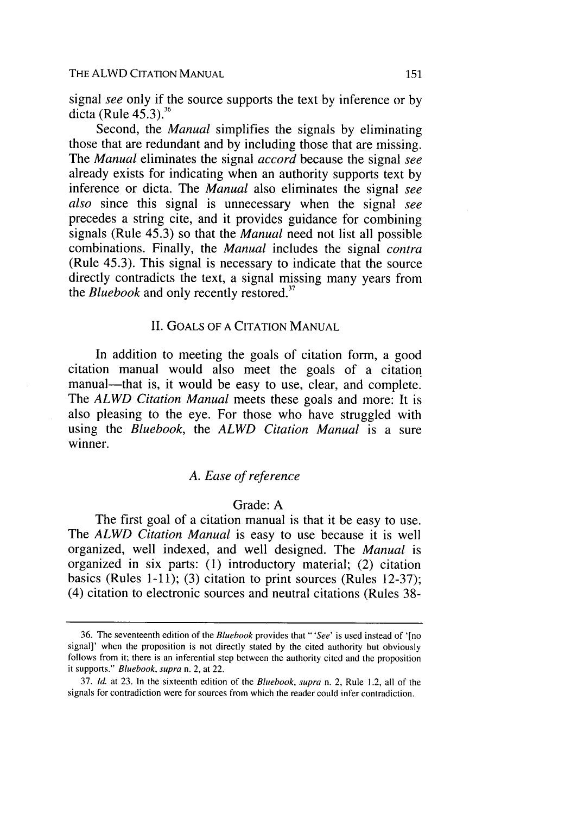signal *see* only if the source supports the text by inference or by dicta (Rule **45.3).36**

Second, the *Manual* simplifies the signals by eliminating those that are redundant and by including those that are missing. The *Manual* eliminates the signal *accord* because the signal *see* already exists for indicating when an authority supports text by inference or dicta. The *Manual* also eliminates the signal *see also* since this signal is unnecessary when the signal *see* precedes a string cite, and it provides guidance for combining signals (Rule 45.3) so that the *Manual* need not list all possible combinations. Finally, the *Manual* includes the signal *contra* (Rule 45.3). This signal is necessary to indicate that the source directly contradicts the text, a signal missing many years from the *Bluebook* and only recently restored.<sup>37</sup>

#### II. GOALS OF A CITATION MANUAL

In addition to meeting the goals of citation form, a good citation manual would also meet the goals of a citation manual—that is, it would be easy to use, clear, and complete. The *ALWD Citation Manual* meets these goals and more: It is also pleasing to the eye. For those who have struggled with using the *Bluebook,* the *ALWD Citation Manual* is a sure winner.

# *A. Ease of reference*

### Grade: A

The first goal of a citation manual is that it be easy to use. The *ALWD Citation Manual* is easy to use because it is well organized, well indexed, and well designed. The *Manual* is organized in six parts: (1) introductory material; (2) citation basics (Rules 1-11); (3) citation to print sources (Rules 12-37); (4) citation to electronic sources and neutral citations (Rules 38-

<sup>36.</sup> The seventeenth edition of the Bluebook provides that "'See' is used instead of '[no signal]' when the proposition is not directly stated by the cited authority but obviously follows from it; there is an inferential step between the authority cited and the proposition it supports." Bluebook, supra n. 2, at 22.

<sup>37.</sup> **Id.** at 23. In the sixteenth edition of the Bluebook, supra n. 2, Rule 1.2, all of the signals for contradiction were for sources from which the reader could infer contradiction.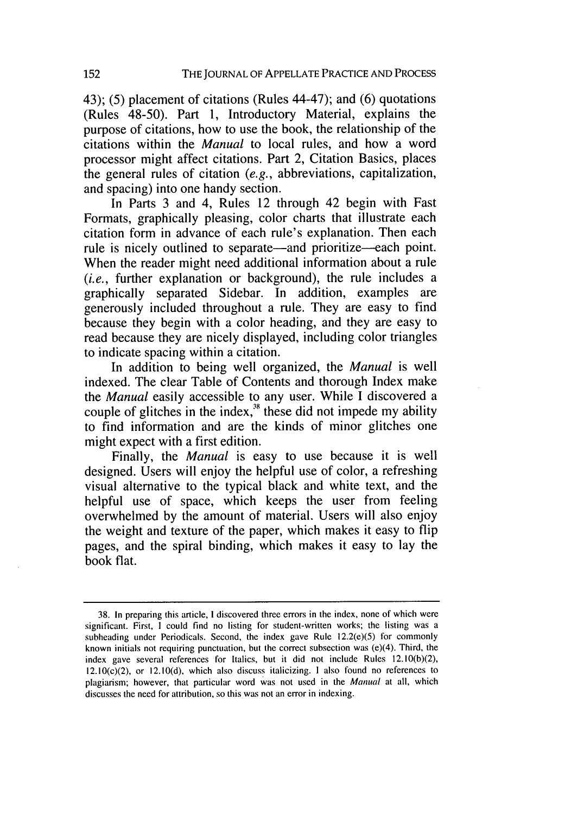43); (5) placement of citations (Rules 44-47); and (6) quotations (Rules 48-50). Part 1, Introductory Material, explains the purpose of citations, how to use the book, the relationship of the citations within the *Manual* to local rules, and how a word processor might affect citations. Part 2, Citation Basics, places the general rules of citation *(e.g.,* abbreviations, capitalization, and spacing) into one handy section.

In Parts 3 and 4, Rules 12 through 42 begin with Fast Formats, graphically pleasing, color charts that illustrate each citation form in advance of each rule's explanation. Then each rule is nicely outlined to separate—and prioritize—each point. When the reader might need additional information about a rule *(i.e.,* further explanation or background), the rule includes a graphically separated Sidebar. In addition, examples are generously included throughout a rule. They are easy to find because they begin with a color heading, and they are easy to read because they are nicely displayed, including color triangles to indicate spacing within a citation.

In addition to being well organized, the *Manual* is well indexed. The clear Table of Contents and thorough Index make the *Manual* easily accessible to any user. While I discovered a couple of glitches in the index, $x^3$  these did not impede my ability to find information and are the kinds of minor glitches one might expect with a first edition.

Finally, the *Manual* is easy to use because it is well designed. Users will enjoy the helpful use of color, a refreshing visual alternative to the typical black and white text, and the helpful use of space, which keeps the user from feeling overwhelmed by the amount of material. Users will also enjoy the weight and texture of the paper, which makes it easy to flip pages, and the spiral binding, which makes it easy to lay the book flat.

<sup>38.</sup> In preparing this article, I discovered three errors in the index, none of which were significant. First, I could find no listing for student-written works; the listing was a subheading under Periodicals. Second, the index gave Rule  $12.2(e)(5)$  for commonly known initials not requiring punctuation, but the correct subsection was (e)(4). Third, the index gave several references for Italics, but it did not include Rules 12.10(b)(2),  $12.10(c)(2)$ , or  $12.10(d)$ , which also discuss italicizing. I also found no references to plagiarism; however, that particular word was not used in the Manual at all, which discusses the need for attribution, so this was not an error in indexing.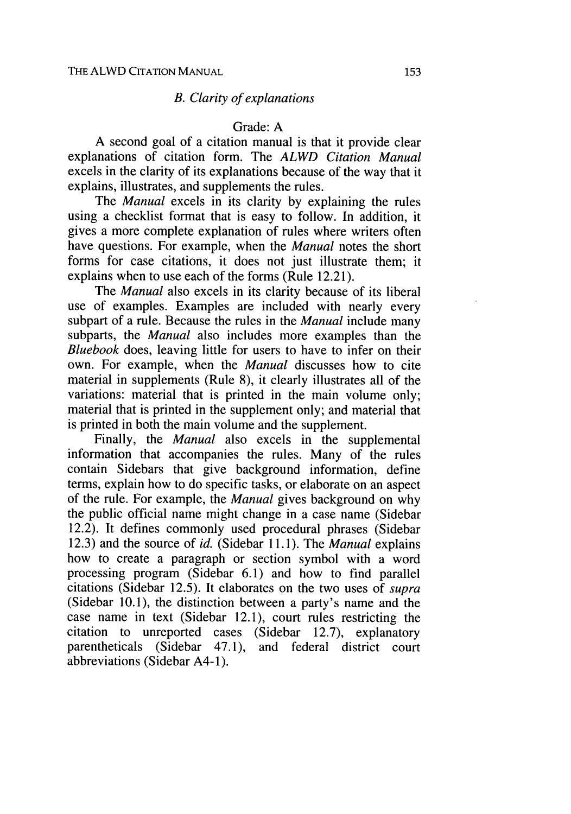# *B. Clarity of explanations*

#### Grade: A

A second goal of a citation manual is that it provide clear explanations of citation form. The *ALWD Citation Manual* excels in the clarity of its explanations because of the way that it explains, illustrates, and supplements the rules.

The *Manual* excels in its clarity by explaining the rules using a checklist format that is easy to follow. In addition, it gives a more complete explanation of rules where writers often have questions. For example, when the *Manual* notes the short forms for case citations, it does not just illustrate them; it explains when to use each of the forms (Rule 12.21).

The *Manual* also excels in its clarity because of its liberal use of examples. Examples are included with nearly every subpart of a rule. Because the rules in the *Manual* include many subparts, the *Manual* also includes more examples than the *Bluebook* does, leaving little for users to have to infer on their own. For example, when the *Manual* discusses how to cite material in supplements (Rule 8), it clearly illustrates all of the variations: material that is printed in the main volume only; material that is printed in the supplement only; and material that is printed in both the main volume and the supplement.

Finally, the *Manual* also excels in the supplemental information that accompanies the rules. Many of the rules contain Sidebars that give background information, define terms, explain how to do specific tasks, or elaborate on an aspect of the rule. For example, the *Manual* gives background on why the public official name might change in a case name (Sidebar 12.2). It defines commonly used procedural phrases (Sidebar 12.3) and the source of *id.* (Sidebar 11.1). The *Manual* explains how to create a paragraph or section symbol with a word processing program (Sidebar 6.1) and how to find parallel citations (Sidebar 12.5). It elaborates on the two uses of *supra* (Sidebar 10.1), the distinction between a party's name and the case name in text (Sidebar 12.1), court rules restricting the citation to unreported cases (Sidebar 12.7), explanatory parentheticals (Sidebar 47.1), and federal district court abbreviations (Sidebar A4-1).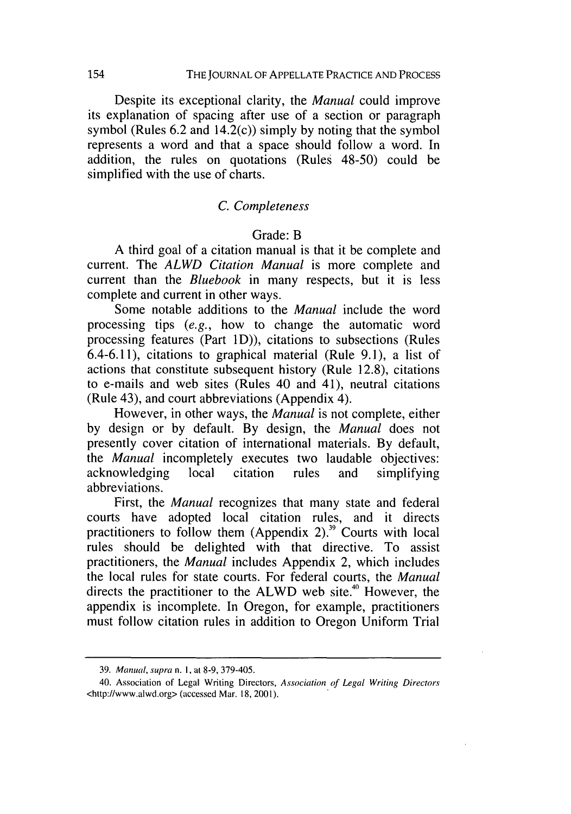Despite its exceptional clarity, the *Manual* could improve its explanation of spacing after use of a section or paragraph symbol (Rules  $6.2$  and  $14.2(c)$ ) simply by noting that the symbol represents a word and that a space should follow a word. In addition, the rules on quotations (Rules 48-50) could be simplified with the use of charts.

#### *C. Completeness*

#### Grade: B

A third goal of a citation manual is that it be complete and current. The *ALWD Citation Manual* is more complete and current than the *Bluebook* in many respects, but it is less complete and current in other ways.

Some notable additions to the *Manual* include the word processing tips *(e.g.,* how to change the automatic word processing features (Part ID)), citations to subsections (Rules 6.4-6.11), citations to graphical material (Rule 9.1), a list of actions that constitute subsequent history (Rule 12.8), citations to e-mails and web sites (Rules 40 and 41), neutral citations (Rule 43), and court abbreviations (Appendix 4).

However, in other ways, the *Manual* is not complete, either by design or by default. By design, the *Manual* does not presently cover citation of international materials. By default, the *Manual* incompletely executes two laudable objectives: acknowledging local citation rules and simplifying abbreviations.

First, the *Manual* recognizes that many state and federal courts have adopted local citation rules, and it directs practitioners to follow them (Appendix 2).<sup>39</sup> Courts with local rules should be delighted with that directive. To assist practitioners, the *Manual* includes Appendix 2, which includes the local rules for state courts. For federal courts, the *Manual* directs the practitioner to the ALWD web site.<sup>40</sup> However, the appendix is incomplete. In Oregon, for example, practitioners must follow citation rules in addition to Oregon Uniform Trial

<sup>39.</sup> *Manual, supra* n. **1,** at 8-9, 379-405.

<sup>40.</sup> Association of Legal Writing Directors, *Association of Legal Writing Directors* <http://www.alwd.org> (accessed Mar. 18, 2001).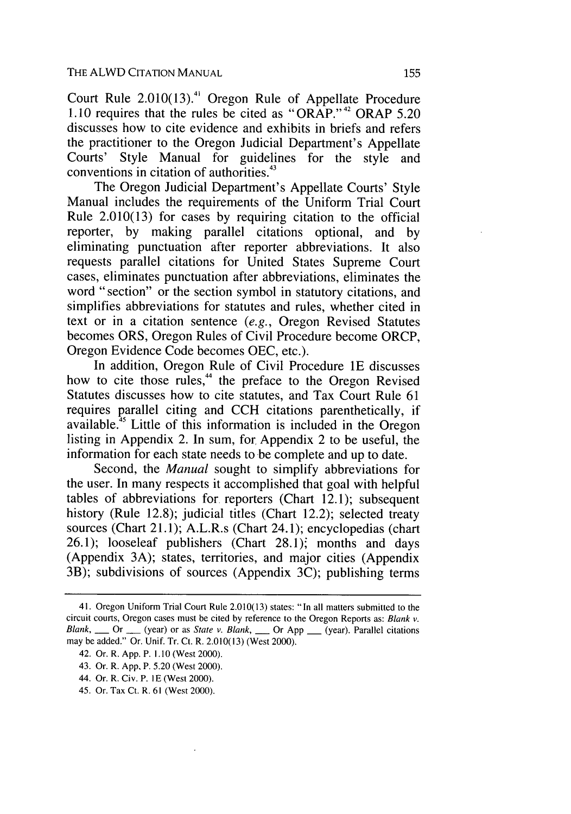Court Rule  $2.010(13)$ .<sup>41</sup> Oregon Rule of Appellate Procedure 1.10 requires that the rules be cited as "ORAP."<sup>42</sup> ORAP 5.20 discusses how to cite evidence and exhibits in briefs and refers the practitioner to the Oregon Judicial Department's Appellate Courts' Style Manual for guidelines for the style and conventions in citation of authorities. $43$ 

The Oregon Judicial Department's Appellate Courts' Style Manual includes the requirements of the Uniform Trial Court Rule 2.010(13) for cases by requiring citation to the official reporter, by making parallel citations optional, and by eliminating punctuation after reporter abbreviations. It also requests parallel citations for United States Supreme Court cases, eliminates punctuation after abbreviations, eliminates the word "section" or the section symbol in statutory citations, and simplifies abbreviations for statutes and rules, whether cited in text or in a citation sentence (e.g., Oregon Revised Statutes becomes ORS, Oregon Rules of Civil Procedure become ORCP, Oregon Evidence Code becomes OEC, etc.).

In addition, Oregon Rule of Civil Procedure lE discusses how to cite those rules,<sup>44</sup> the preface to the Oregon Revised Statutes discusses how to cite statutes, and Tax Court Rule 61 requires parallel citing and CCH citations parenthetically, if available.<sup>45</sup> Little of this information is included in the Oregon listing in Appendix 2. In sum, for, Appendix 2 to be useful, the information for each state needs to be complete and up to date.

Second, the *Manual* sought to simplify abbreviations for the user. In many respects it accomplished that goal with helpful tables of abbreviations for reporters (Chart 12.1); subsequent history (Rule 12.8); judicial titles (Chart 12.2); selected treaty sources (Chart 21.1); A.L.R.s (Chart 24.1); encyclopedias (chart 26.1); looseleaf publishers (Chart **28.1),** months and days (Appendix 3A); states, territories, and major cities (Appendix 3B); subdivisions of sources (Appendix 3C); publishing terms

<sup>41.</sup> Oregon Uniform Trial Court Rule 2.010(13) states: "In all matters submitted to the circuit courts, Oregon cases must be cited by reference to the Oregon Reports as: Blank v. Blank, \_\_ Or \_\_ (year) or as State v. Blank, \_\_ Or App \_\_ (year). Parallel citations may be added." Or. Unif. Tr. Ct. R. 2.010(13) (West 2000).

<sup>42.</sup> Or. R. App. P. 1.10 (West 2000).

<sup>43.</sup> Or. R. App. P. 5.20 (West 2000).

<sup>44.</sup> Or. R. Civ. P. IE (West 2000).

<sup>45.</sup> Or. Tax Ct. R. 61 (West 2000).